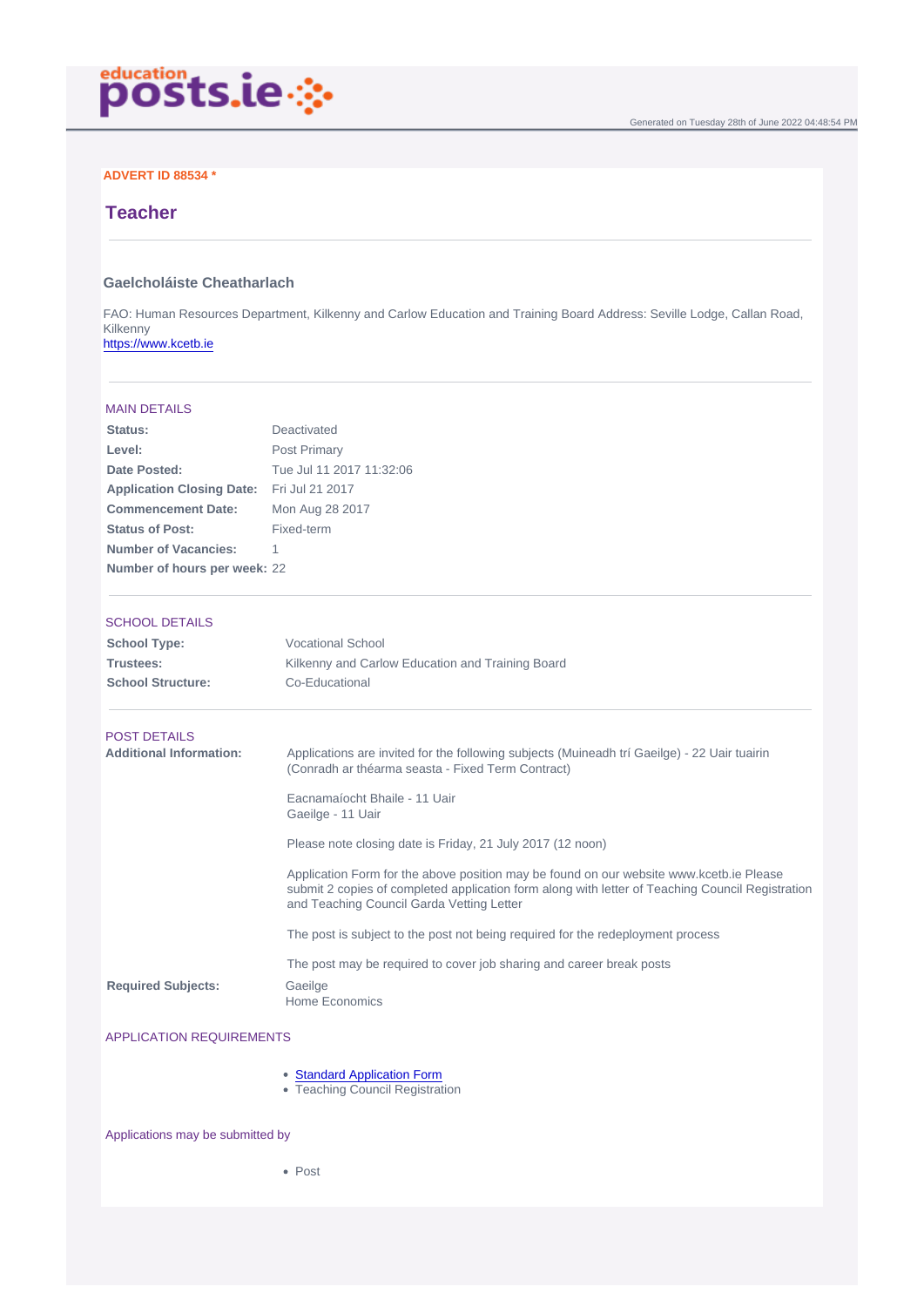# ADVERT ID 88534 \*

# **Teacher**

### Gaelcholáiste Cheatharlach

FAO: Human Resources Department, Kilkenny and Carlow Education and Training Board Address: Seville Lodge, Callan Road, Kilkenny <https://www.kcetb.ie>

| <b>MAIN DETAILS</b>              |                                                                                                                                                                                                                                          |
|----------------------------------|------------------------------------------------------------------------------------------------------------------------------------------------------------------------------------------------------------------------------------------|
| Status:                          | Deactivated                                                                                                                                                                                                                              |
| Level:                           | Post Primary                                                                                                                                                                                                                             |
| Date Posted:                     | Tue Jul 11 2017 11:32:06                                                                                                                                                                                                                 |
| <b>Application Closing Date:</b> | Fri Jul 21 2017                                                                                                                                                                                                                          |
| <b>Commencement Date:</b>        | Mon Aug 28 2017                                                                                                                                                                                                                          |
| Status of Post:                  | Fixed-term                                                                                                                                                                                                                               |
| Number of Vacancies:             | 1.                                                                                                                                                                                                                                       |
| Number of hours per week:        | 22                                                                                                                                                                                                                                       |
| <b>SCHOOL DETAILS</b>            |                                                                                                                                                                                                                                          |
| School Type:                     | <b>Vocational School</b>                                                                                                                                                                                                                 |
| Trustees:                        | Kilkenny and Carlow Education and Training Board                                                                                                                                                                                         |
| <b>School Structure:</b>         | Co-Educational                                                                                                                                                                                                                           |
| <b>POST DETAILS</b>              |                                                                                                                                                                                                                                          |
| Additional Information:          | Applications are invited for the following subjects (Muineadh trí Gaeilge) - 22 Uair tuairin<br>(Conradh ar théarma seasta - Fixed Term Contract)                                                                                        |
|                                  | Eacnamaíocht Bhaile - 11 Uair<br>Gaeilge - 11 Uair                                                                                                                                                                                       |
|                                  | Please note closing date is Friday, 21 July 2017 (12 noon)                                                                                                                                                                               |
|                                  | Application Form for the above position may be found on our website www.kcetb.ie Please<br>submit 2 copies of completed application form along with letter of Teaching Council Registration<br>and Teaching Council Garda Vetting Letter |
|                                  | The post is subject to the post not being required for the redeployment process                                                                                                                                                          |
|                                  | The post may be required to cover job sharing and career break posts                                                                                                                                                                     |
| <b>Required Subjects:</b>        | Gaeilge<br><b>Home Economics</b>                                                                                                                                                                                                         |

#### APPLICATION REQUIREMENTS

- [Standard Application Form](/page/resources/standardapplicationforms)
- Teaching Council Registration

### Applications may be submitted by

• Post